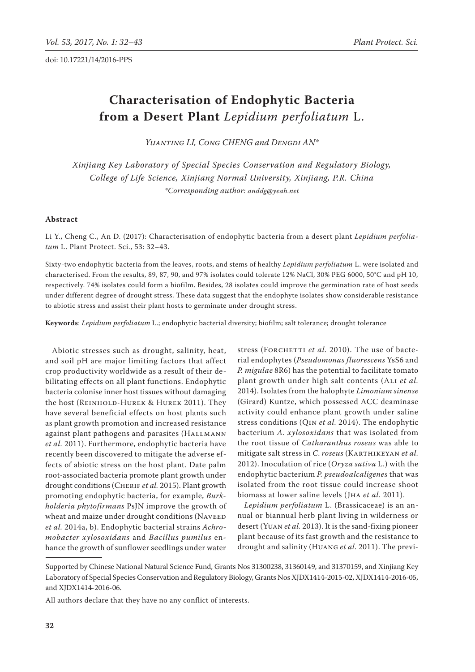# **Characterisation of Endophytic Bacteria from a Desert Plant** *Lepidium perfoliatum* L.

YUANTING LI, CONG CHENG and DENGDI AN<sup>\*</sup>

*Xinjiang Key Laboratory of Special Species Conservation and Regulatory Biology, College of Life Science, Xinjiang Normal University, Xinjiang, P.R. China \*Corresponding author: anddg@yeah.net*

#### **Abstract**

Li Y., Cheng C., An D. (2017): Characterisation of endophytic bacteria from a desert plant *Lepidium perfoliatum* L. Plant Protect. Sci., 53: 32–43.

Sixty-two endophytic bacteria from the leaves, roots, and stems of healthy *Lepidium perfoliatum* L. were isolated and characterised. From the results, 89, 87, 90, and 97% isolates could tolerate 12% NaCl, 30% PEG 6000, 50°C and pH 10, respectively. 74% isolates could form a biofilm. Besides, 28 isolates could improve the germination rate of host seeds under different degree of drought stress. These data suggest that the endophyte isolates show considerable resistance to abiotic stress and assist their plant hosts to germinate under drought stress.

**Keywords**: *Lepidium perfoliatum* L.; endophytic bacterial diversity; biofilm; salt tolerance; drought tolerance

Abiotic stresses such as drought, salinity, heat, and soil pH are major limiting factors that affect crop productivity worldwide as a result of their debilitating effects on all plant functions. Endophytic bacteria colonise inner host tissues without damaging the host (REINHOLD-HUREK & HUREK 2011). They have several beneficial effects on host plants such as plant growth promotion and increased resistance against plant pathogens and parasites (HALLMANN *et al.* 2011). Furthermore, endophytic bacteria have recently been discovered to mitigate the adverse effects of abiotic stress on the host plant. Date palm root-associated bacteria promote plant growth under drought conditions (CHERIF et al. 2015). Plant growth promoting endophytic bacteria, for example, *Burkholderia phytofirmans* PsJN improve the growth of wheat and maize under drought conditions (NAVEED *et al.* 2014a, b). Endophytic bacterial strains *Achromobacter xylosoxidans* and *Bacillus pumilus* enhance the growth of sunflower seedlings under water

stress (FORCHETTI et al. 2010). The use of bacterial endophytes (*Pseudomonas fluorescens* YsS6 and *P. migulae* 8R6) has the potential to facilitate tomato plant growth under high salt contents (Ali *et al.* 2014). Isolates from the halophyte *Limonium sinense* (Girard) Kuntze, which possessed ACC deaminase activity could enhance plant growth under saline stress conditions (Qin *et al.* 2014). The endophytic bacterium *A. xylosoxidans* that was isolated from the root tissue of *Catharanthus roseus* was able to mitigate salt stress in *C*. *roseus* (Karthikeyan *et al.* 2012). Inoculation of rice (*Oryza sativa* L.) with the endophytic bacterium *P. pseudoalcaligenes* that was isolated from the root tissue could increase shoot biomass at lower saline levels (Jha *et al.* 2011).

*Lepidium perfoliatum* L. (Brassicaceae) is an annual or biannual herb plant living in wilderness or desert (Yuan *et al.* 2013). It is the sand-fixing pioneer plant because of its fast growth and the resistance to drought and salinity (Huang *et al.* 2011). The previ-

Supported by Chinese National Natural Science Fund, Grants Nos 31300238, 31360149, and 31370159, and Xinjiang Key Laboratory of Special Species Conservation and Regulatory Biology, Grants Nos XJDX1414-2015-02, XJDX1414-2016-05, and XJDX1414-2016-06.

All authors declare that they have no any conflict of interests.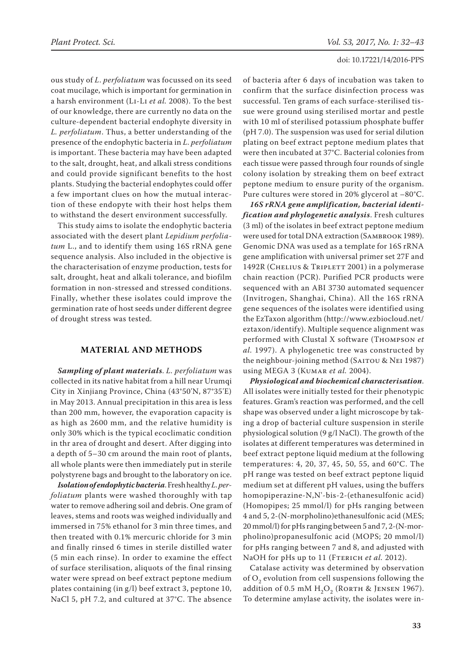ous study of *L*. *perfoliatum* was focussed on its seed coat mucilage, which is important for germination in a harsh environment (Li-Li *et al.* 2008). To the best of our knowledge, there are currently no data on the culture-dependent bacterial endophyte diversity in *L. perfoliatum*. Thus, a better understanding of the presence of the endophytic bacteria in *L*. *perfoliatum* is important. These bacteria may have been adapted to the salt, drought, heat, and alkali stress conditions and could provide significant benefits to the host plants. Studying the bacterial endophytes could offer a few important clues on how the mutual interaction of these endopyte with their host helps them to withstand the desert environment successfully.

This study aims to isolate the endophytic bacteria associated with the desert plant *Lepidium perfoliatum* L., and to identify them using 16S rRNA gene sequence analysis. Also included in the objective is the characterisation of enzyme production, tests for salt, drought, heat and alkali tolerance, and biofilm formation in non-stressed and stressed conditions. Finally, whether these isolates could improve the germination rate of host seeds under different degree of drought stress was tested.

## **MATERIAL AND METHODS**

*Sampling of plant materials*. *L. perfoliatum* was collected in its native habitat from a hill near Urumqi City in Xinjiang Province, China (43°50'N, 87°35'E) in May 2013. Annual precipitation in this area is less than 200 mm, however, the evaporation capacity is as high as 2600 mm, and the relative humidity is only 30% which is the typical ecoclimatic condition in thr area of drought and desert. After digging into a depth of 5–30 cm around the main root of plants, all whole plants were then immediately put in sterile polystyrene bags and brought to the laboratory on ice.

*Isolation of endophytic bacteria*. Fresh healthy *L*. *perfoliatum* plants were washed thoroughly with tap water to remove adhering soil and debris. One gram of leaves, stems and roots was weighed individually and immersed in 75% ethanol for 3 min three times, and then treated with 0.1% mercuric chloride for 3 min and finally rinsed 6 times in sterile distilled water (5 min each rinse). In order to examine the effect of surface sterilisation, aliquots of the final rinsing water were spread on beef extract peptone medium plates containing (in g/l) beef extract 3, peptone 10, NaCl 5, pH 7.2, and cultured at 37°C. The absence of bacteria after 6 days of incubation was taken to confirm that the surface disinfection process was successful. Ten grams of each surface-sterilised tissue were ground using sterilised mortar and pestle with 10 ml of sterilised potassium phosphate buffer (pH 7.0). The suspension was used for serial dilution plating on beef extract peptone medium plates that were then incubated at 37°C. Bacterial colonies from each tissue were passed through four rounds of single colony isolation by streaking them on beef extract peptone medium to ensure purity of the organism. Pure cultures were stored in 20% glycerol at –80°C.

*16S rRNA gene amplification, bacterial identification and phylogenetic analysis*. Fresh cultures (3 ml) of the isolates in beef extract peptone medium were used for total DNA extraction (Sambrook 1989). Genomic DNA was used as a template for 16S rRNA gene amplification with universal primer set 27F and 1492R (CHELIUS & TRIPLETT 2001) in a polymerase chain reaction (PCR). Purified PCR products were sequenced with an ABI 3730 automated sequencer (Invitrogen, Shanghai, China). All the 16S rRNA gene sequences of the isolates were identified using the EzTaxon algorithm (http://www.ezbiocloud.net/ eztaxon/identify). Multiple sequence alignment was performed with Clustal X software (Thompson *et al.* 1997). A phylogenetic tree was constructed by the neighbour-joining method (SAITOU & NEI 1987) using MEGA 3 (Kumar *et al.* 2004).

*Physiological and biochemical characterisation*. All isolates were initially tested for their phenotypic features. Gram's reaction was performed, and the cell shape was observed under a light microscope by taking a drop of bacterial culture suspension in sterile physiological solution (9 g/l NaCl). The growth of the isolates at different temperatures was determined in beef extract peptone liquid medium at the following temperatures: 4, 20, 37, 45, 50, 55, and 60°C. The pH range was tested on beef extract peptone liquid medium set at different pH values, using the buffers homopiperazine-N,N'-bis-2-(ethanesulfonic acid) (Homopipes; 25 mmol/l) for pHs ranging between 4 and 5, 2-(N-morpholino)ethanesulfonic acid (MES; 20 mmol/l) for pHs ranging between 5 and 7, 2-(N-morpholino)propanesulfonic acid (MOPS; 20 mmol/l) for pHs ranging between 7 and 8, and adjusted with NaOH for pHs up to 11 (FTERICH et al. 2012).

Catalase activity was determined by observation of  $O<sub>2</sub>$  evolution from cell suspensions following the addition of 0.5 mM  $H_2O_2$  (RORTH & JENSEN 1967). To determine amylase activity, the isolates were in-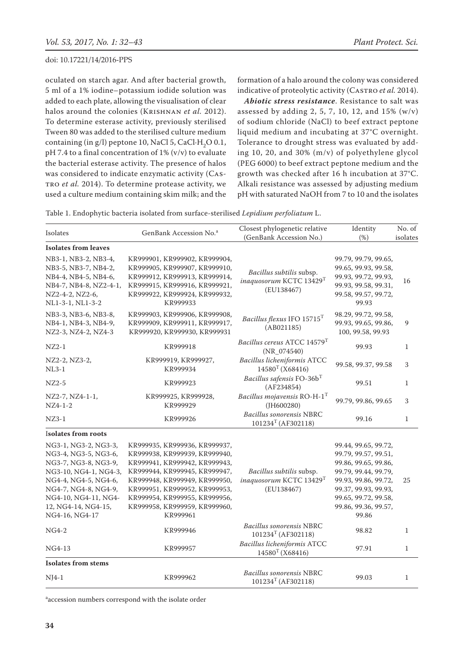oculated on starch agar. And after bacterial growth, 5 ml of a 1% iodine–potassium iodide solution was added to each plate, allowing the visualisation of clear halos around the colonies (Krishnan *et al.* 2012). To determine esterase activity, previously sterilised Tween 80 was added to the sterilised culture medium containing (in g/l) peptone 10, NaCl 5, CaCl $\cdot$ H<sub>2</sub>O 0.1, pH 7.4 to a final concentration of 1% (v/v) to evaluate the bacterial esterase activity. The presence of halos was considered to indicate enzymatic activity (Castro *et al.* 2014). To determine protease activity, we used a culture medium containing skim milk; and the

formation of a halo around the colony was considered indicative of proteolytic activity (CASTRO *et al.* 2014).

*Abiotic stress resistance*. Resistance to salt was assessed by adding 2, 5, 7, 10, 12, and  $15\%$  (w/v) of sodium chloride (NaCl) to beef extract peptone liquid medium and incubating at 37°C overnight. Tolerance to drought stress was evaluated by adding 10, 20, and 30% (m/v) of polyethylene glycol (PEG 6000) to beef extract peptone medium and the growth was checked after 16 h incubation at 37°C. Alkali resistance was assessed by adjusting medium pH with saturated NaOH from 7 to 10 and the isolates

| Isolates                                                                                                                                                                                                       | GenBank Accession No. <sup>a</sup>                                                                                                                                                                                                                                               | Closest phylogenetic relative<br>(GenBank Accession No.)          | Identity<br>(% )                                                                                                                                                                                      | No. of<br>isolates |
|----------------------------------------------------------------------------------------------------------------------------------------------------------------------------------------------------------------|----------------------------------------------------------------------------------------------------------------------------------------------------------------------------------------------------------------------------------------------------------------------------------|-------------------------------------------------------------------|-------------------------------------------------------------------------------------------------------------------------------------------------------------------------------------------------------|--------------------|
| <b>Isolates from leaves</b>                                                                                                                                                                                    |                                                                                                                                                                                                                                                                                  |                                                                   |                                                                                                                                                                                                       |                    |
| NB3-1, NB3-2, NB3-4,<br>NB3-5, NB3-7, NB4-2,<br>NB4-4, NB4-5, NB4-6,<br>NB4-7, NB4-8, NZ2-4-1,<br>NZ2-4-2, NZ2-6,<br>NL1-3-1, NL1-3-2                                                                          | KR999901, KR999902, KR999904,<br>KR999905, KR999907, KR999910,<br>KR999912, KR999913, KR999914,<br>KR999915, KR999916, KR999921,<br>KR999922, KR999924, KR999932,<br>KR999933                                                                                                    |                                                                   | 99.79, 99.79, 99.65,<br>99.65, 99.93, 99.58,<br>99.93, 99.72, 99.93,<br>99.93, 99.58, 99.31,<br>99.58, 99.57, 99.72,<br>99.93                                                                         | 16                 |
| NB3-3, NB3-6, NB3-8,<br>NB4-1, NB4-3, NB4-9,<br>NZ2-3, NZ4-2, NZ4-3                                                                                                                                            | KR999903, KR999906, KR999908,<br>KR999909, KR999911, KR999917,<br>KR999920, KR999930, KR999931                                                                                                                                                                                   | Bacillus flexus IFO 15715T<br>(AB021185)                          | 98.29, 99.72, 99.58,<br>99.93, 99.65, 99.86,<br>100, 99.58, 99.93                                                                                                                                     | 9                  |
| $NZ2-1$                                                                                                                                                                                                        | KR999918                                                                                                                                                                                                                                                                         | Bacillus cereus ATCC 14579 <sup>T</sup><br>$(NR_074540)$          | 99.93                                                                                                                                                                                                 | $\mathbf{1}$       |
| NZ2-2, NZ3-2,<br>$NL3-1$                                                                                                                                                                                       | KR999919, KR999927,<br>KR999934                                                                                                                                                                                                                                                  | Bacillus licheniformis ATCC<br>$14580$ <sup>T</sup> (X68416)      | 99.58, 99.37, 99.58                                                                                                                                                                                   | 3                  |
| $NZ2-5$                                                                                                                                                                                                        | KR999923                                                                                                                                                                                                                                                                         | Bacillus safensis FO-36b <sup>T</sup><br>(AF234854)               | 99.51                                                                                                                                                                                                 | $\mathbf{1}$       |
| NZ2-7, NZ4-1-1,<br>$NZ4-1-2$                                                                                                                                                                                   | KR999925, KR999928,<br>KR999929                                                                                                                                                                                                                                                  | Bacillus mojavensis $RO-H-1$ <sup>T</sup><br>$($ J $H600280)$     | 99.79, 99.86, 99.65                                                                                                                                                                                   | 3                  |
| $NZ3-1$                                                                                                                                                                                                        | KR999926                                                                                                                                                                                                                                                                         | Bacillus sonorensis NBRC<br>$101234T$ (AF302118)                  | 99.16                                                                                                                                                                                                 | $\mathbf{1}$       |
| Isolates from roots                                                                                                                                                                                            |                                                                                                                                                                                                                                                                                  |                                                                   |                                                                                                                                                                                                       |                    |
| NG3-1, NG3-2, NG3-3,<br>NG3-4, NG3-5, NG3-6,<br>NG3-7, NG3-8, NG3-9,<br>NG3-10, NG4-1, NG4-3,<br>NG4-4, NG4-5, NG4-6,<br>NG4-7, NG4-8, NG4-9,<br>NG4-10, NG4-11, NG4-<br>12, NG4-14, NG4-15,<br>NG4-16, NG4-17 | KR999935, KR999936, KR999937,<br>KR999938, KR999939, KR999940,<br>KR999941, KR999942, KR999943,<br>KR999944, KR999945, KR999947,<br>KR999948, KR999949, KR999950,<br>KR999951, KR999952, KR999953,<br>KR999954, KR999955, KR999956,<br>KR999958, KR999959, KR999960,<br>KR999961 | Bacillus subtilis subsp.<br>inaquosorum KCTC 13429T<br>(EU138467) | 99.44, 99.65, 99.72,<br>99.79, 99.57, 99.51,<br>99.86, 99.65, 99.86,<br>99.79, 99.44, 99.79,<br>99.93, 99.86, 99.72,<br>99.37, 99.93, 99.93,<br>99.65, 99.72, 99.58,<br>99.86, 99.36, 99.57,<br>99.86 | 25                 |
| NG4-2                                                                                                                                                                                                          | KR999946                                                                                                                                                                                                                                                                         | Bacillus sonorensis NBRC<br>$101234T$ (AF302118)                  | 98.82                                                                                                                                                                                                 | $\mathbf{1}$       |
| NG4-13                                                                                                                                                                                                         | KR999957                                                                                                                                                                                                                                                                         |                                                                   | 97.91                                                                                                                                                                                                 | $\mathbf{1}$       |
| <b>Isolates from stems</b>                                                                                                                                                                                     |                                                                                                                                                                                                                                                                                  |                                                                   |                                                                                                                                                                                                       |                    |
| $NJ4-1$                                                                                                                                                                                                        | KR999962                                                                                                                                                                                                                                                                         | Bacillus sonorensis NBRC<br>$101234T$ (AF302118)                  | 99.03                                                                                                                                                                                                 | $\mathbf{1}$       |

a accession numbers correspond with the isolate order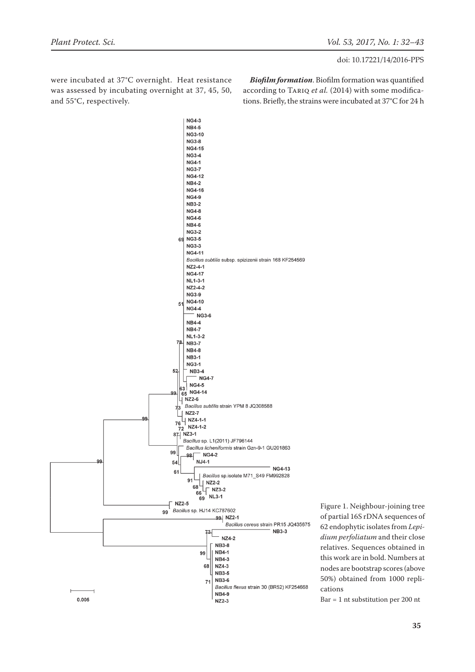were incubated at 37°C overnight. Heat resistance was assessed by incubating overnight at 37, 45, 50, and 55°C, respectively.

*Biofilm formation*. Biofilm formation was quantified according to Tariq *et al.* (2014) with some modifications. Briefly, the strains were incubated at 37°C for 24 h



Figure 1. Neighbour-joining tree of partial 16S rDNA sequences of 62 endophytic isolates from *Lepidium perfoliatum* and their close relatives. Sequences obtained in this work are in bold. Numbers at nodes are bootstrap scores (above 50%) obtained from 1000 replications

Bar = 1 nt substitution per 200 nt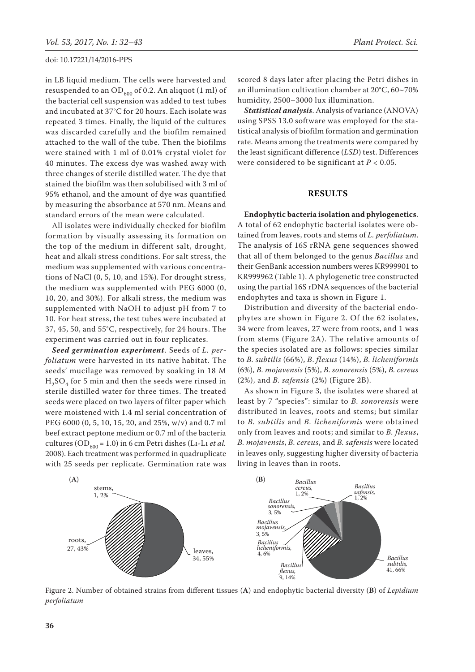in LB liquid medium. The cells were harvested and resuspended to an OD $_{600}$  of 0.2. An aliquot (1 ml) of the bacterial cell suspension was added to test tubes and incubated at 37°C for 20 hours. Each isolate was repeated 3 times. Finally, the liquid of the cultures was discarded carefully and the biofilm remained attached to the wall of the tube. Then the biofilms were stained with 1 ml of 0.01% crystal violet for 40 minutes. The excess dye was washed away with three changes of sterile distilled water. The dye that stained the biofilm was then solubilised with 3 ml of 95% ethanol, and the amount of dye was quantified by measuring the absorbance at 570 nm. Means and standard errors of the mean were calculated.

All isolates were individually checked for biofilm formation by visually assessing its formation on the top of the medium in different salt, drought, heat and alkali stress conditions. For salt stress, the medium was supplemented with various concentrations of NaCl (0, 5, 10, and 15%). For drought stress, the medium was supplemented with PEG 6000 (0, 10, 20, and 30%). For alkali stress, the medium was supplemented with NaOH to adjust pH from 7 to 10. For heat stress, the test tubes were incubated at 37, 45, 50, and 55°C, respectively, for 24 hours. The experiment was carried out in four replicates.

*Seed germination experiment*. Seeds of *L. perfoliatum* were harvested in its native habitat. The seeds' mucilage was removed by soaking in 18 M  $H<sub>2</sub>SO<sub>4</sub>$  for 5 min and then the seeds were rinsed in sterile distilled water for three times. The treated seeds were placed on two layers of filter paper which were moistened with 1.4 ml serial concentration of PEG 6000 (0, 5, 10, 15, 20, and 25%, w/v) and 0.7 ml beef extract peptone medium or 0.7 ml of the bacteria cultures (OD<sub>600</sub> = 1.0) in 6 cm Petri dishes (LI-LI *et al.* 2008). Each treatment was performed in quadruplicate with 25 seeds per replicate. Germination rate was scored 8 days later after placing the Petri dishes in an illumination cultivation chamber at 20°C, 60~70% humidity, 2500–3000 lux illumination.

*Statistical analysis*. Analysis of variance (ANOVA) using SPSS 13.0 software was employed for the statistical analysis of biofilm formation and germination rate. Means among the treatments were compared by the least significant difference (*LSD*) test. Differences were considered to be significant at *P* < 0.05.

#### **RESULTS**

**Endophytic bacteria isolation and phylogenetics**. A total of 62 endophytic bacterial isolates were obtained from leaves, roots and stems of *L. perfoliatum*. The analysis of 16S rRNA gene sequences showed that all of them belonged to the genus *Bacillus* and their GenBank accession numbers weres KR999901 to KR999962 (Table 1). A phylogenetic tree constructed using the partial 16S rDNA sequences of the bacterial endophytes and taxa is shown in Figure 1.

Distribution and diversity of the bacterial endophytes are shown in Figure 2. Of the 62 isolates, 34 were from leaves, 27 were from roots, and 1 was from stems (Figure 2A). The relative amounts of the species isolated are as follows: species similar to *B. subtilis* (66%), *B*. *flexus* (14%), *B. licheniformis* (6%), *B. mojavensis* (5%), *B. sonorensis* (5%), *B. cereus* (2%), and *B. safensis* (2%) (Figure 2B).

As shown in Figure 3, the isolates were shared at least by 7 "species": similar to *B. sonorensis* were distributed in leaves, roots and stems; but similar to *B. subtilis* and *B. licheniformis* were obtained only from leaves and roots; and similar to *B. flexus*, *B. mojavensis*, *B. cereus*, and *B. safensis* were located in leaves only, suggesting higher diversity of bacteria living in leaves than in roots.



Figure 2. Number of obtained strains from different tissues (**A**) and endophytic bacterial diversity (**B**) of *Lepidium perfoliatum*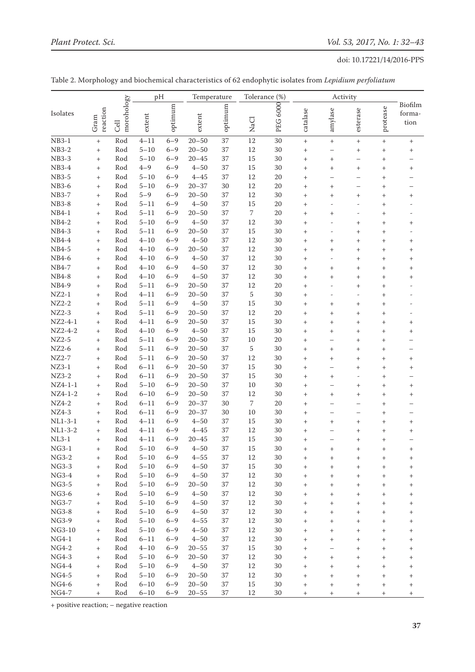|              |                                  |                    | pH       |         | Temperature |         | Tolerance (%) |                 | Activity                         |                                  |                                  |                                  |                                  |
|--------------|----------------------------------|--------------------|----------|---------|-------------|---------|---------------|-----------------|----------------------------------|----------------------------------|----------------------------------|----------------------------------|----------------------------------|
| Isolates     | reaction<br>Gram                 | morohology<br>Cell | extent   | optimum | extent      | optimum | NaCl          | <b>PEG 6000</b> | catalase                         | amylase                          | esterase                         | protease                         | Biofilm<br>forma-<br>tion        |
| $NB3-1$      | $^{+}$                           | Rod                | $4 - 11$ | $6 - 9$ | $20 - 50$   | 37      | 12            | 30              | $^{+}$                           | $^{+}$                           | $\! + \!\!\!\!$                  |                                  | $^{+}$                           |
| <b>NB3-2</b> | $^{+}$                           | Rod                | $5 - 10$ | $6 - 9$ | $20 - 50$   | 37      | 12            | 30              | $^{+}$                           | $\overline{\phantom{0}}$         | $^+$                             | $^{+}$                           | $^{+}$                           |
| <b>NB3-3</b> | $\! + \!$                        | Rod                | $5 - 10$ | $6 - 9$ | $20 - 45$   | 37      | 15            | 30              | $^{+}$                           | $^{+}$                           | $\overline{\phantom{0}}$         | $\begin{array}{c} + \end{array}$ |                                  |
| NB3-4        | $\! + \!$                        | Rod                | $4 - 9$  | $6 - 9$ | $4 - 50$    | 37      | 15            | 30              | $^{+}$                           | $^{+}$                           | $\! +$                           | $\begin{array}{c} + \end{array}$ | $^{+}$                           |
| <b>NB3-5</b> |                                  | Rod                | $5 - 10$ | $6 - 9$ | $4 - 45$    | 37      | 12            | 20              | $^{+}$                           |                                  | $\overline{\phantom{0}}$         | $\begin{array}{c} + \end{array}$ |                                  |
| NB3-6        | $\! + \!\!\!\!$                  | Rod                | $5 - 10$ | $6 - 9$ | $20 - 37$   | 30      | 12            | 20              | $^{+}$                           | $^{+}$                           | $\overline{\phantom{0}}$         | $^{+}$                           |                                  |
| <b>NB3-7</b> | $^{+}$                           | Rod                | $5 - 9$  | $6 - 9$ | $20 - 50$   | 37      | 12            | 30              | $^{+}$                           | $^{+}$                           | $^{+}$                           | $^{+}$                           | $^+$                             |
| <b>NB3-8</b> | $^{+}$                           | Rod                | $5 - 11$ | $6 - 9$ | $4 - 50$    | 37      | 15            | 20              | $\boldsymbol{+}$                 |                                  | $\overline{a}$                   | $^{+}$                           |                                  |
| $NB4-1$      | $^{+}$                           | Rod                | $5 - 11$ | $6 - 9$ | $20 - 50$   | 37      | 7             | 20              | $^{+}$                           | $^{+}$                           | $\overline{a}$                   | $^{+}$                           |                                  |
| NB4-2        | $^{+}$                           | Rod                | $5 - 10$ | $6 - 9$ | $4 - 50$    | 37      | 12            | 30              | $^{+}$                           |                                  | $^{+}$                           | $^{+}$                           | $\, + \,$                        |
| NB4-3        | $^{+}$                           | Rod                | $5 - 11$ | $6 - 9$ | $20 - 50$   | 37      | 15            | 30              | $^{+}$                           | -                                | $^{+}$                           | $^{+}$                           |                                  |
| NB4-4        | $^{+}$                           | Rod                | $4 - 10$ | $6 - 9$ | $4 - 50$    | 37      | 12            | 30              | $^{+}$                           | $^{+}$                           | $^{+}$                           | $^{+}$                           | $^{+}$                           |
| NB4-5        | $\! + \!\!\!\!$                  | Rod                | $4 - 10$ | $6 - 9$ | $20 - 50$   | 37      | 12            | 30              | $^{+}$                           | $^{+}$                           | $^{+}$                           | $^{+}$                           | $^{+}$                           |
| NB4-6        | $^{+}$                           | Rod                | $4 - 10$ | $6 - 9$ | $4 - 50$    | 37      | 12            | 30              | $^{+}$                           |                                  | $^{+}$                           | $^{+}$                           | $^{+}$                           |
| NB4-7        | $^{+}$                           | Rod                | $4 - 10$ | $6 - 9$ | $4 - 50$    | 37      | 12            | 30              | $^{+}$                           | $^{+}$                           | $^{+}$                           | $^{+}$                           | $^{+}$                           |
| NB4-8        | $^{+}$                           | Rod                | $4 - 10$ | $6 - 9$ | $4 - 50$    | 37      | 12            | 30              | $^{+}$                           | $\, +$                           | $^{+}$                           | $^{+}$                           | $^{+}$                           |
| NB4-9        | $^+$                             | Rod                | $5 - 11$ | $6 - 9$ | $20 - 50$   | 37      | 12            | 20              | $^{+}$                           |                                  | $^{+}$                           | $^{+}$                           |                                  |
| $NZ2-1$      | $^+$                             | Rod                | $4 - 11$ | $6 - 9$ | $20 - 50$   | 37      | 5             | 30              | $^{+}$                           |                                  | $\overline{\phantom{a}}$         | $\boldsymbol{+}$                 |                                  |
| $NZ2-2$      | $^+$                             | Rod                | $5 - 11$ | $6 - 9$ | $4 - 50$    | 37      | 15            | 30              | $^{+}$                           | $\, +$                           | $^{+}$                           | $\boldsymbol{+}$                 |                                  |
| $NZ2-3$      | $^+$                             | Rod                | $5 - 11$ | $6 - 9$ | $20 - 50$   | 37      | 12            | 20              | $\! + \!\!\!\!$                  | $\, +$                           | $\! + \!\!\!\!$                  | $^{+}$                           |                                  |
| $NZ2-4-1$    | $^+$                             | Rod                | $4 - 11$ | $6 - 9$ | $20 - 50$   | 37      | 15            | 30              | $^{+}$                           | $\! +$                           | $^{+}$                           | $\boldsymbol{+}$                 | $^{+}$                           |
| $NZ2-4-2$    | $^+$                             | Rod                | $4 - 10$ | $6 - 9$ | $4 - 50$    | 37      | 15            | 30              | $\! + \!\!\!\!$                  | $\! +$                           | $\! + \!\!\!\!$                  | $^{+}$                           | $^{+}$                           |
| $NZ2-5$      | $^+$                             | Rod                | $5 - 11$ | $6 - 9$ | $20 - 50$   | 37      | 10            | 20              | $^{+}$                           | $\overline{\phantom{0}}$         | $^{+}$                           | $\boldsymbol{+}$                 |                                  |
| $NZ2-6$      | $\qquad \qquad +$                | Rod                | $5 - 11$ | $6 - 9$ | $20 - 50$   | 37      | 5             | 30              | $\boldsymbol{+}$                 | $^{+}$                           | $\! + \!\!\!\!$                  | $^{+}$                           |                                  |
| $NZ2-7$      | $^{+}$                           | Rod                | $5 - 11$ | $6 - 9$ | $20 - 50$   | 37      | 12            | 30              | $^{+}$                           | $^{+}$                           | $^{+}$                           | $^{+}$                           | $^{+}$                           |
| $NZ3-1$      |                                  | Rod                | $6 - 11$ | $6 - 9$ | $20 - 50$   | 37      | 15            | 30              | $^{+}$                           | -                                | $^{+}$                           | $^{+}$                           | $^{+}$                           |
| $NZ3-2$      | $^{+}$                           | Rod                | $6 - 11$ | $6 - 9$ | $20 - 50$   | 37      | 15            | 30              | $^{+}$                           | $^{+}$                           | $\overline{a}$                   | $^{+}$                           |                                  |
| $NZ4-1-1$    | $\! + \!$                        | Rod                | $5 - 10$ | $6 - 9$ | $20 - 50$   | 37      | 10            | 30              | $^{+}$                           | $\overline{\phantom{0}}$         | $\! +$                           | $^{+}$                           | $\! +$                           |
| $NZ4-1-2$    | $^{+}$                           | Rod                | $6 - 10$ | $6 - 9$ | $20 - 50$   | 37      | 12            | 30              | $^{+}$                           | $^{+}$                           | $\! +$                           | $^{+}$                           | $^{+}$                           |
| $NZ4-2$      | $^{+}$                           | Rod                | $6 - 11$ | $6 - 9$ | $20 - 37$   | 30      | 7             | 20              | $^{+}$                           |                                  | $\overline{\phantom{0}}$         | $^{+}$                           |                                  |
| $NZ4-3$      | $\begin{array}{c} + \end{array}$ | Rod                | $6 - 11$ | $6 - 9$ | $20 - 37$   | 30      | 10            | 30              | $^{+}$                           | -                                | $\overline{\phantom{0}}$         | $^{+}$                           |                                  |
| $NL1-3-1$    | $\! + \!\!\!\!$                  | Rod                | $4 - 11$ | $6 - 9$ | $4 - 50$    | 37      | 15            | 30              | $^{+}$                           | $^{+}$                           | $\! +$                           | $^{+}$                           | $\! +$                           |
| $NL1-3-2$    | $\! + \!\!\!\!$                  | Rod                | $4 - 11$ | $6 - 9$ | $4 - 45$    | 37      | 12            | 30              | $\hbox{+}$                       |                                  | $^+$                             | $^{+}$                           | $^+$                             |
| $NL3-1$      | $^{+}$                           | Rod                | $4 - 11$ | $6 - 9$ | $20 - 45$   | 37      | 15            | 30              | $^{+}$                           |                                  | $\boldsymbol{+}$                 | $^{+}$                           |                                  |
| $NG3-1$      | $^{+}$                           | Rod                | $5 - 10$ | $6 - 9$ | $4 - 50$    | 37      | 15            | 30              |                                  |                                  | +                                |                                  | +                                |
| $NG3-2$      | $^{+}$                           | Rod                | $5 - 10$ | $6 - 9$ | $4 - 55$    | 37      | 12            | 30              | $^{+}$                           | $^{+}$                           | $\begin{array}{c} + \end{array}$ | $^{+}$                           | $^{+}$                           |
| $NG3-3$      | $\! + \!\!\!\!$                  | Rod                | $5 - 10$ | $6 - 9$ | $4 - 50$    | 37      | 15            | 30              | $\, +$                           | $^{+}$                           | $^{+}$                           | $^{+}$                           | $^{+}$                           |
| $NG3-4$      | $\! + \!\!\!\!$                  | Rod                | $5 - 10$ | $6 - 9$ | $4 - 50$    | 37      | 12            | 30              | $^{+}$                           | $^{+}$                           | $\begin{array}{c} + \end{array}$ | $^{+}$                           | $^{+}$                           |
| NG3-5        | $\! + \!\!\!\!$                  | Rod                | $5 - 10$ | $6 - 9$ | $20 - 50$   | 37      | 12            | 30              | $^{+}$                           | $^{+}$                           | $^{+}$                           | $^{+}$                           | $^{+}$                           |
| NG3-6        | $^{+}$                           | Rod                | $5 - 10$ | $6 - 9$ | $4 - 50$    | 37      | 12            | 30              | $^{+}$                           | $^{+}$                           | $\begin{array}{c} + \end{array}$ | $^{+}$                           | $^{+}$                           |
| NG3-7        | $\! + \!\!\!\!$                  | Rod                | $5 - 10$ | $6 - 9$ | $4 - 50$    | 37      | 12            | 30              | $\begin{array}{c} + \end{array}$ | $^{+}$                           | $\begin{array}{c} + \end{array}$ | $^{+}$                           | $^{+}$                           |
| NG3-8        | $\begin{array}{c} + \end{array}$ | Rod                | $5 - 10$ | $6 - 9$ | $4 - 50$    | 37      | 12            | 30              | $^{+}$                           | $^{+}$                           | $^{+}$                           | $^{+}$                           | $^{+}$                           |
| NG3-9        | $\! + \!\!\!\!$                  | Rod                | $5 - 10$ | $6 - 9$ | $4 - 55$    | 37      | 12            | $30\,$          | $^{+}$                           | $^{+}$                           | $^{+}$                           | $^{+}$                           | $^{+}$                           |
| $NG3-10$     | $^+$                             | Rod                | $5 - 10$ | $6 - 9$ | $4 - 50$    | 37      | 12            | 30              | $^{+}$                           | $^{+}$                           | $^{+}$                           | $^{+}$                           | $^{+}$                           |
| $NG4-1$      | $^+$                             | Rod                | $6 - 11$ | $6 - 9$ | $4 - 50$    | 37      | 12            | 30              | $^{+}$                           | $^{+}$                           | $^{+}$                           | $^{+}$                           | $^{+}$                           |
| $NG4-2$      | $^+$                             | Rod                | $4 - 10$ | $6 - 9$ | $20 - 55$   | 37      | 15            | 30              | $^{+}$                           | —                                | $^{+}$                           | $^{+}$                           | $^{+}$                           |
| $NG4-3$      | $^+$                             | Rod                | $5 - 10$ | $6 - 9$ | $20 - 50$   | 37      | 12            | 30              | $\boldsymbol{+}$                 | $^{+}$                           | $^{+}$                           | $^{+}$                           | $^{+}$                           |
| $NG4-4$      | $^+$                             | Rod                | $5 - 10$ | $6 - 9$ | $4 - 50$    | 37      | 12            | 30              | $^{+}$                           | $^{+}$                           | $^{+}$                           | $^{+}$                           | $^{+}$                           |
| $NG4-5$      | $^+$                             | Rod                | $5 - 10$ | $6 - 9$ | $20 - 50$   | 37      | 12            | 30              | $^{+}$                           | $^{+}$                           | $\! + \!\!\!\!$                  | $^{+}$                           | $\begin{array}{c} + \end{array}$ |
| NG4-6        | $^+$                             | Rod                | $6 - 10$ | $6 - 9$ | $20 - 50$   | 37      | 15            | 30              | $^{+}$                           | $\begin{array}{c} + \end{array}$ | $\begin{array}{c} + \end{array}$ | $^{+}$                           | $^{+}$                           |
| NG4-7        | $^{+}$                           | Rod                | $6 - 10$ | $6 - 9$ | $20 - 55$   | 37      | 12            | $30\,$          | $^{+}$                           | $^{+}$                           | $\begin{array}{c} + \end{array}$ | $^{+}$                           | $^{+}$                           |

| Table 2. Morphology and biochemical characteristics of 62 endophytic isolates from <i>Lepidium perfoliatum</i> |  |  |  |  |
|----------------------------------------------------------------------------------------------------------------|--|--|--|--|
|----------------------------------------------------------------------------------------------------------------|--|--|--|--|

+ positive reaction; – negative reaction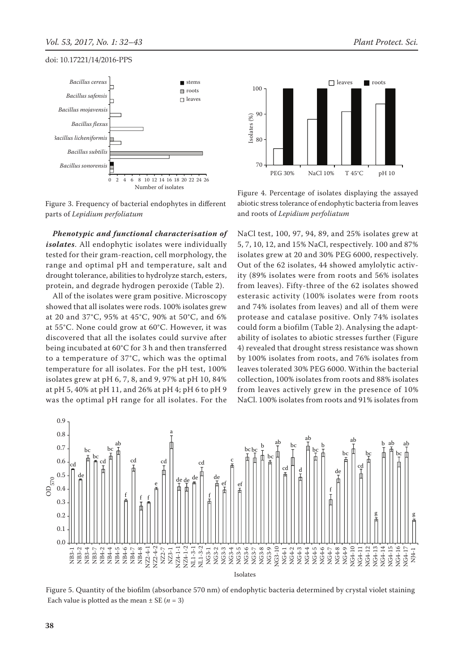



90

100

Figure 3. Frequency of bacterial endophytes in different parts of *Lepidium perfoliatum*

*Phenotypic and functional characterisation of isolates*. All endophytic isolates were individually tested for their gram-reaction, cell morphology, the range and optimal pH and temperature, salt and drought tolerance, abilities to hydrolyze starch, esters, protein, and degrade hydrogen peroxide (Table 2).

All of the isolates were gram positive. Microscopy showed that all isolates were rods. 100% isolates grew at 20 and 37°C, 95% at 45°C, 90% at 50°C, and 6% at 55°C. None could grow at 60°C. However, it was discovered that all the isolates could survive after being incubated at 60°C for 3 h and then transferred to a temperature of 37°C, which was the optimal temperature for all isolates. For the pH test, 100% isolates grew at pH 6, 7, 8, and 9, 97% at pH 10, 84% at pH 5, 40% at pH 11, and 26% at pH 4; pH 6 to pH 9 was the optimal pH range for all isolates. For the

Figure 4. Percentage of isolates displaying the assayed abiotic stress tolerance of endophytic bacteria from leaves and roots of *Lepidium perfoliatum*

NaCl test, 100, 97, 94, 89, and 25% isolates grew at 5, 7, 10, 12, and 15% NaCl, respectively. 100 and 87% isolates grew at 20 and 30% PEG 6000, respectively. Out of the 62 isolates, 44 showed amylolytic activity (89% isolates were from roots and 56% isolates from leaves). Fifty-three of the 62 isolates showed esterasic activity (100% isolates were from roots and 74% isolates from leaves) and all of them were protease and catalase positive. Only 74% isolates could form a biofilm (Table 2). Analysing the adaptability of isolates to abiotic stresses further (Figure 4) revealed that drought stress resistance was shown by 100% isolates from roots, and 76% isolates from leaves tolerated 30% PEG 6000. Within the bacterial collection, 100% isolates from roots and 88% isolates from leaves actively grew in the presence of 10% NaCl. 100% isolates from roots and 91% isolates from



Figure 5. Quantity of the biofilm (absorbance 570 nm) of endophytic bacteria determined by crystal violet staining Each value is plotted as the mean  $\pm$  SE ( $n = 3$ )

leaves roots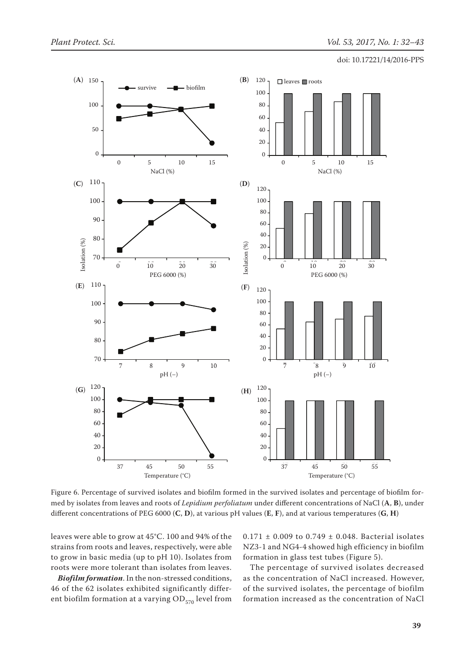

Figure 6. Percentage of survived isolates and biofilm formed in the survived isolates and percentage of biofilm formed by isolates from leaves and roots of *Lepidium perfoliatum* under different concentrations of NaCl (**A**, **B**), under different concentrations of PEG 6000 (**C**, **D**), at various pH values (**E**, **F**), and at various temperatures (**G**, **H**)

leaves were able to grow at 45°C. 100 and 94% of the strains from roots and leaves, respectively, were able to grow in basic media (up to pH 10). Isolates from roots were more tolerant than isolates from leaves.

*Biofilm formation*. In the non-stressed conditions, 46 of the 62 isolates exhibited significantly different biofilm formation at a varying  $OD_{570}$  level from  $0.171 \pm 0.009$  to  $0.749 \pm 0.048$ . Bacterial isolates NZ3-1 and NG4-4 showed high efficiency in biofilm formation in glass test tubes (Figure 5).

The percentage of survived isolates decreased as the concentration of NaCl increased. However, of the survived isolates, the percentage of biofilm formation increased as the concentration of NaCl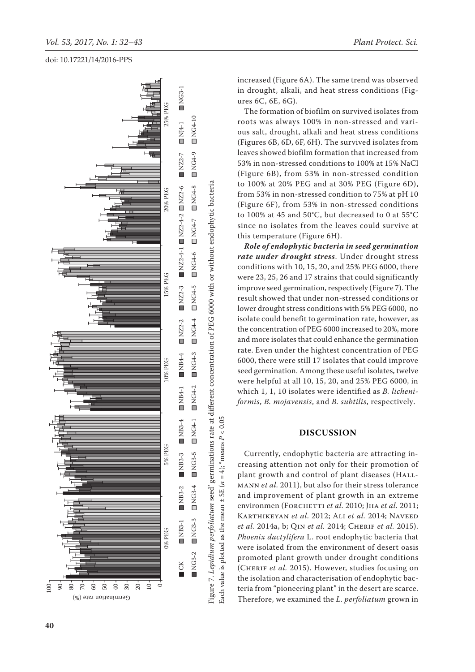

increased (Figure 6A). The same trend was observed in drought, alkali, and heat stress conditions (Figures 6C, 6E, 6G).

The formation of biofilm on survived isolates from roots was always 100% in non-stressed and various salt, drought, alkali and heat stress conditions (Figures 6B, 6D, 6F, 6H). The survived isolates from leaves showed biofilm formation that increased from 53% in non-stressed conditions to 100% at 15% NaCl (Figure 6B), from 53% in non-stressed condition to 100% at 20% PEG and at 30% PEG (Figure 6D), from 53% in non-stressed condition to 75% at pH 10 (Figure 6F), from 53% in non-stressed conditions to 100% at 45 and 50°C, but decreased to 0 at 55°C since no isolates from the leaves could survive at this temperature (Figure 6H).

*Role of endophytic bacteria in seed germination rate under drought stress*. Under drought stress conditions with 10, 15, 20, and 25% PEG 6000, there were 23, 25, 26 and 17 strains that could significantly improve seed germination, respectively (Figure 7). The result showed that under non-stressed conditions or lower drought stress conditions with 5% PEG 6000, no isolate could benefit to germination rate, however, as the concentration of PEG 6000 increased to 20%, more and more isolates that could enhance the germination rate. Even under the hightest concentration of PEG 6000, there were still 17 isolates that could improve seed germination. Among these useful isolates, twelve were helpful at all 10, 15, 20, and 25% PEG 6000, in which 1, 1, 10 isolates were identified as *B. licheniformis*, *B. mojavensis*, and *B. subtilis*, respectively.

# **DISCUSSION**

Currently, endophytic bacteria are attracting increasing attention not only for their promotion of plant growth and control of plant diseases (HALLmann *et al.* 2011), but also for their stress tolerance and improvement of plant growth in an extreme environmen (FORCHETTI et al. 2010; JHA et al. 2011; Karthikeyan *et al*. 2012; Ali *et al.* 2014; Naveed *et al.* 2014a, b; Qin *et al.* 2014; Cherif *et al.* 2015). *Phoenix dactylifera* L. root endophytic bacteria that were isolated from the environment of desert oasis promoted plant growth under drought conditions (CHERIF et al. 2015). However, studies focusing on the isolation and characterisation of endophytic bacteria from "pioneering plant" in the desert are scarce. Therefore, we examined the *L*. *perfoliatum* grown in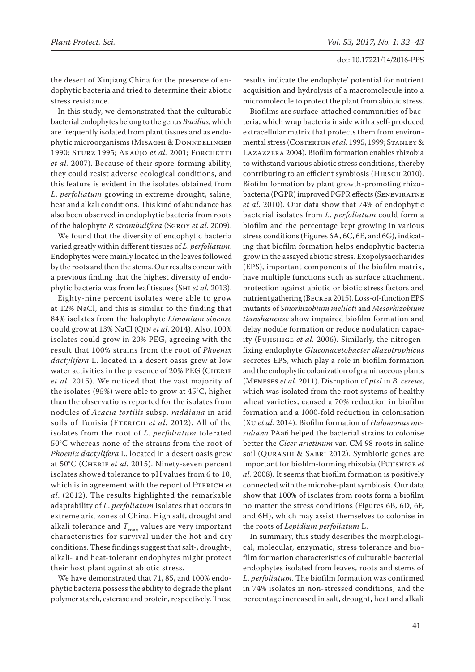the desert of Xinjiang China for the presence of endophytic bacteria and tried to determine their abiotic stress resistance.

In this study, we demonstrated that the culturable bacterial endophytes belong to the genus *Bacillus*, which are frequently isolated from plant tissues and as endophytic microorganisms (MISAGHI & DONNDELINGER 1990; Sturz 1995; Araújo et al. 2001; Forchetti *et al.* 2007). Because of their spore-forming ability, they could resist adverse ecological conditions, and this feature is evident in the isolates obtained from *L*. *perfoliatum* growing in extreme drought, saline, heat and alkali conditions. This kind of abundance has also been observed in endophytic bacteria from roots of the halophyte *P. strombulifera* (Sgroy *et al.* 2009).

We found that the diversity of endophytic bacteria varied greatly within different tissues of *L*. *perfoliatum*. Endophytes were mainly located in the leaves followed by the roots and then the stems. Our results concur with a previous finding that the highest diversity of endophytic bacteria was from leaf tissues (Shi *et al.* 2013).

Eighty-nine percent isolates were able to grow at 12% NaCl, and this is similar to the finding that 84% isolates from the halophyte *Limonium sinense* could grow at 13% NaCl (Qin *et al*. 2014). Also, 100% isolates could grow in 20% PEG, agreeing with the result that 100% strains from the root of *Phoenix dactylifera* L. located in a desert oasis grew at low water activities in the presence of 20% PEG (CHERIF *et al.* 2015). We noticed that the vast majority of the isolates (95%) were able to grow at 45°C, higher than the observations reported for the isolates from nodules of *Acacia tortilis* subsp. *raddiana* in arid soils of Tunisia (FTERICH et al. 2012). All of the isolates from the root of *L*. *perfoliatum* tolerated 50°C whereas none of the strains from the root of *Phoenix dactylifera* L. located in a desert oasis grew at 50°C (Cherif *et al.* 2015). Ninety-seven percent isolates showed tolerance to pH values from 6 to 10, which is in agreement with the report of FTERICH *et al*. (2012). The results highlighted the remarkable adaptability of *L*. *perfoliatum* isolates that occurs in extreme arid zones of China. High salt, drought and alkali tolerance and  $T_{\text{max}}$  values are very important characteristics for survival under the hot and dry conditions. These findings suggest that salt-, drought-, alkali- and heat-tolerant endophytes might protect their host plant against abiotic stress.

We have demonstrated that 71, 85, and 100% endophytic bacteria possess the ability to degrade the plant polymer starch, esterase and protein, respectively. These

results indicate the endophyte' potential for nutrient acquisition and hydrolysis of a macromolecule into a micromolecule to protect the plant from abiotic stress.

Biofilms are surface-attached communities of bacteria, which wrap bacteria inside with a self-produced extracellular matrix that protects them from environmental stress (COSTERTON et al. 1995, 1999; STANLEY & Lazazzera 2004). Biofilm formation enables rhizobia to withstand various abiotic stress conditions, thereby contributing to an efficient symbiosis (HIRSCH 2010). Biofilm formation by plant growth-promoting rhizobacteria (PGPR) improved PGPR effects (Seneviratne *et al.* 2010). Our data show that 74% of endophytic bacterial isolates from *L*. *perfoliatum* could form a biofilm and the percentage kept growing in various stress conditions (Figures 6A, 6C, 6E, and 6G), indicating that biofilm formation helps endophytic bacteria grow in the assayed abiotic stress. Exopolysaccharides (EPS), important components of the biofilm matrix, have multiple functions such as surface attachment, protection against abiotic or biotic stress factors and nutrient gathering (Becker 2015). Loss-of-function EPS mutants of *Sinorhizobium meliloti* and *Mesorhizobium tianshanense* show impaired biofilm formation and delay nodule formation or reduce nodulation capacity (Fujishige *et al.* 2006). Similarly, the nitrogenfixing endophyte *Gluconacetobacter diazotrophicus*  secretes EPS, which play a role in biofilm formation and the endophytic colonization of graminaceous plants (Meneses *et al.* 2011). Disruption of *ptsI* in *B. cereus*, which was isolated from the root systems of healthy wheat varieties, caused a 70% reduction in biofilm formation and a 1000-fold reduction in colonisation (Xu *et al.* 2014). Biofilm formation of *Halomonas meridiana* PAa6 helped the bacterial strains to colonise better the *Cicer arietinum* var. CM 98 roots in saline soil (Qurashi & Sabri 2012). Symbiotic genes are important for biofilm-forming rhizobia (Fujishige *et al.* 2008). It seems that biofilm formation is positively connected with the microbe-plant symbiosis. Our data show that 100% of isolates from roots form a biofilm no matter the stress conditions (Figures 6B, 6D, 6F, and 6H), which may assist themselves to colonise in the roots of *Lepidium perfoliatum* L.

In summary, this study describes the morphological, molecular, enzymatic, stress tolerance and biofilm formation characteristics of culturable bacterial endophytes isolated from leaves, roots and stems of *L*. *perfoliatum*. The biofilm formation was confirmed in 74% isolates in non-stressed conditions, and the percentage increased in salt, drought, heat and alkali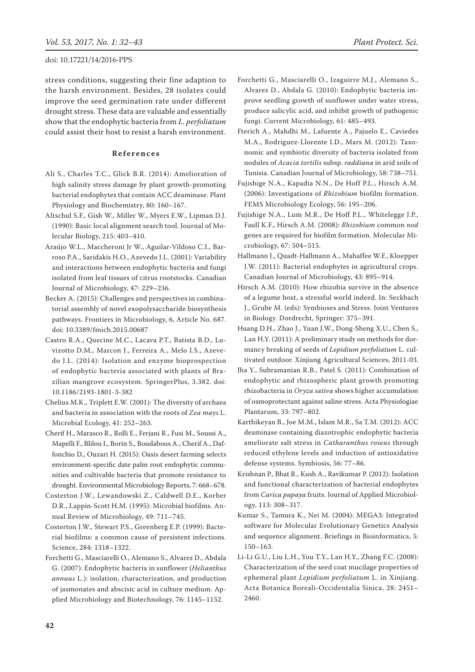stress conditions, suggesting their fine adaption to the harsh environment. Besides, 28 isolates could improve the seed germination rate under different drought stress. These data are valuable and essentially show that the endophytic bacteria from *L*. *perfoliatum* could assist their host to resist a harsh environment.

## **References**

- Ali S., Charles T.C., Glick B.R. (2014): Amelioration of high salinity stress damage by plant growth-promoting bacterial endophytes that contain ACC deaminase. Plant Physiology and Biochemistry, 80: 160–167.
- Altschul S.F., Gish W., Miller W., Myers E.W., Lipman D.J. (1990): Basic local alignment search tool. Journal of Molecular Biology, 215: 403–410.
- Araújo W.L., Maccheroni Jr W., Aguilar-Vildoso C.I., Barroso P.A., Saridakis H.O., Azevedo J.L. (2001): Variability and interactions between endophytic bacteria and fungi isolated from leaf tissues of citrus rootstocks. Canadian Journal of Microbiology, 47: 229–236.
- Becker A. (2015): Challenges and perspectives in combinatorial assembly of novel exopolysaccharide biosynthesis pathways. Frontiers in Microbiology, 6, Article No. 687. doi: 10.3389/fmicb.2015.00687
- Castro R.A., Quecine M.C., Lacava P.T., Batista B.D., Luvizotto D.M., Marcon J., Ferreira A., Melo I.S., Azevedo J.L. (2014): Isolation and enzyme bioprospection of endophytic bacteria associated with plants of Brazilian mangrove ecosystem. SpringerPlus, 3.382. doi: 10.1186/2193-1801-3-382
- Chelius M.K., Triplett E.W. (2001): The diversity of archaea and bacteria in association with the roots of *Zea mays* L. Microbial Ecology, 41: 252–263.
- Cherif H., Marasco R., Rolli E., Ferjani R., Fusi M., Soussi A., Mapelli F., Blilou I., Borin S., Boudabous A., Cherif A., Daffonchio D., Ouzari H. (2015): Oasis desert farming selects environment-specific date palm root endophytic communities and cultivable bacteria that promote resistance to drought. Environmental Microbiology Reports, 7: 668–678.
- Costerton J.W., Lewandowski Z., Caldwell D.E., Korber D.R., Lappin-Scott H.M. (1995): Microbial biofilms. Annual Review of Microbiology, 49: 711–745.
- Costerton J.W., Stewart P.S., Greenberg E.P. (1999): Bacterial biofilms: a common cause of persistent infections. Science, 284: 1318–1322.
- Forchetti G., Masciarelli O., Alemano S., Alvarez D., Abdala G. (2007): Endophytic bacteria in sunflower (*Helianthus annuus* L.): isolation, characterization, and production of jasmonates and abscisic acid in culture medium. Applied Microbiology and Biotechnology, 76: 1145–1152.
- Forchetti G., Masciarelli O., Izaguirre M.J., Alemano S., Alvarez D., Abdala G. (2010): Endophytic bacteria improve seedling growth of sunflower under water stress, produce salicylic acid, and inhibit growth of pathogenic fungi. Current Microbiology, 61: 485–493.
- Fterich A., Mahdhi M., Lafuente A., Pajuelo E., Caviedes M.A., Rodriguez-Llorente I.D., Mars M. (2012): Taxonomic and symbiotic diversity of bacteria isolated from nodules of *Acacia tortilis* subsp. *raddiana* in arid soils of Tunisia. Canadian Journal of Microbiology, 58: 738–751.
- Fujishige N.A., Kapadia N.N., De Hoff P.L., Hirsch A.M. (2006): Investigations of *Rhizobium* biofilm formation. FEMS Microbiology Ecology, 56: 195–206.
- Fujishige N.A., Lum M.R., De Hoff P.L., Whitelegge J.P., Faull K.F., Hirsch A.M. (2008): *Rhizobium* common *nod* genes are required for biofilm formation. Molecular Microbiology, 67: 504–515.
- Hallmann J., Quadt-Hallmann A., Mahaffee W.F., Kloepper J.W. (2011): Bacterial endophytes in agricultural crops. Canadian Journal of Microbiology, 43: 895–914.
- Hirsch A.M. (2010): How rhizobia survive in the absence of a legume host, a stressful world indeed. In: Seckbach J., Grube M. (eds): Symbioses and Stress. Joint Ventures in Biology. Dordrecht, Springer: 375–391.
- Huang D.H., Zhao J., Yuan J.W., Dong-Sheng X.U., Chen S., Lan H.Y. (2011): A preliminary study on methods for dormancy breaking of seeds of *Lepidium perfoliatum* L. cultivated outdoor. Xinjiang Agricultural Sciences, 2011-03.
- Jha Y., Subramanian R.B., Patel S. (2011): Combination of endophytic and rhizospheric plant growth promoting rhizobacteria in *Oryza sativa* shows higher accumulation of osmoprotectant against saline stress. Acta Physiologiae Plantarum, 33: 797–802.
- Karthikeyan B., Joe M.M., Islam M.R., Sa T.M. (2012): ACC deaminase containing diazotrophic endophytic bacteria ameliorate salt stress in *Catharanthus roseus* through reduced ethylene levels and induction of antioxidative defense systems. Symbiosis, 56: 77–86.
- Krishnan P., Bhat R., Kush A., Ravikumar P. (2012): Isolation and functional characterization of bacterial endophytes from *Carica papaya* fruits. Journal of Applied Microbiology, 113: 308–317.
- Kumar S., Tamura K., Nei M. (2004): MEGA3: Integrated software for Molecular Evolutionary Genetics Analysis and sequence alignment. Briefings in Bioinformatics, 5: 150–163.
- Li-Li G.U., Liu L.H., You T.Y., Lan H.Y., Zhang F.C. (2008): Characterization of the seed coat mucilage properties of ephemeral plant *Lepidium perfoliatum* L. in Xinjiang. Acta Botanica Boreali-Occidentalia Sinica, 28: 2451– 2460.